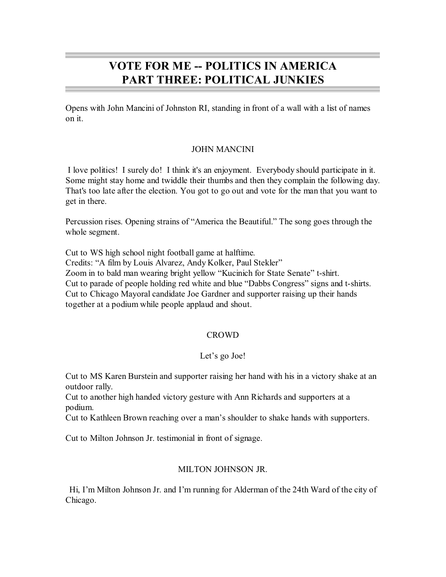# **VOTE FOR ME -- POLITICS IN AMERICA PART THREE: POLITICAL JUNKIES**

Opens with John Mancini of Johnston RI, standing in front of a wall with a list of names on it.

# JOHN MANCINI

I love politics! I surely do! I think it's an enjoyment. Everybody should participate in it. Some might stay home and twiddle their thumbs and then they complain the following day. That's too late after the election. You got to go out and vote for the man that you want to get in there.

Percussion rises. Opening strains of "America the Beautiful." The song goes through the whole segment.

Cut to WS high school night football game at halftime. Credits: "A film by Louis Alvarez, Andy Kolker, Paul Stekler" Zoom in to bald man wearing bright yellow "Kucinich for State Senate" t-shirt. Cut to parade of people holding red white and blue "Dabbs Congress" signs and t-shirts. Cut to Chicago Mayoral candidate Joe Gardner and supporter raising up their hands together at a podium while people applaud and shout.

# CROWD

# Let's go Joe!

Cut to MS Karen Burstein and supporter raising her hand with his in a victory shake at an outdoor rally.

Cut to another high handed victory gesture with Ann Richards and supporters at a podium.

Cut to Kathleen Brown reaching over a man's shoulder to shake hands with supporters.

Cut to Milton Johnson Jr. testimonial in front of signage.

# MILTON JOHNSON JR.

Hi, I'm Milton Johnson Jr. and I'm running for Alderman of the 24th Ward of the city of Chicago.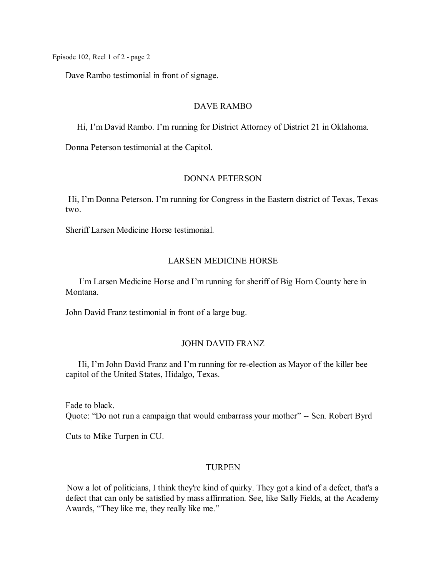Dave Rambo testimonial in front of signage.

#### DAVE RAMBO

Hi, I'm David Rambo. I'm running for District Attorney of District 21 in Oklahoma.

Donna Peterson testimonial at the Capitol.

#### DONNA PETERSON

Hi, I'm Donna Peterson. I'm running for Congress in the Eastern district of Texas, Texas two.

Sheriff Larsen Medicine Horse testimonial.

# LARSEN MEDICINE HORSE

I'm Larsen Medicine Horse and I'm running for sheriff of Big Horn County here in Montana.

John David Franz testimonial in front of a large bug.

#### JOHN DAVID FRANZ

Hi, I'm John David Franz and I'm running for re-election as Mayor of the killer bee capitol of the United States, Hidalgo, Texas.

Fade to black. Quote: "Do not run a campaign that would embarrass your mother" -- Sen. Robert Byrd

Cuts to Mike Turpen in CU.

#### TURPEN

Now a lot of politicians, I think they're kind of quirky. They got a kind of a defect, that's a defect that can only be satisfied by mass affirmation. See, like Sally Fields, at the Academy Awards, "They like me, they really like me."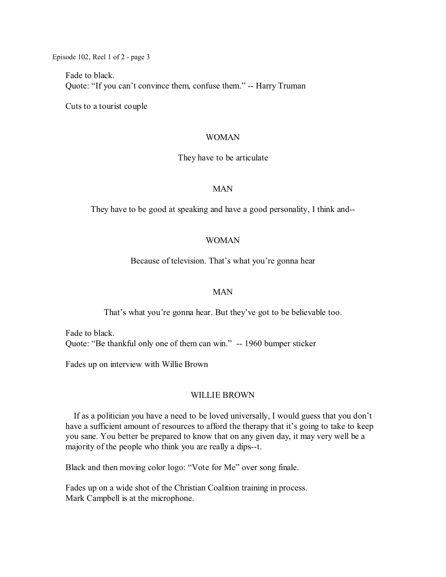Fade to black. Quote: "If you can't convince them, confuse them." -- Harry Truman

Cuts to a tourist couple

#### WOMAN

They have to be articulate

#### MAN

They have to be good at speaking and have a good personality, I think and--

### WOMAN

Because of television. That's what you're gonna hear

#### MAN

That's what you're gonna hear. But they've got to be believable too.

Fade to black. Quote: "Be thankful only one of them can win." -- 1960 bumper sticker

Fades up on interview with Willie Brown

#### WILLIE BROWN

If as a politician you have a need to be loved universally, I would guess that you don't have a sufficient amount of resources to afford the therapy that it's going to take to keep you sane. You better be prepared to know that on any given day, it may very well be a majority of the people who think you are really a dips--t.

Black and then moving color logo: "Vote for Me" over song finale.

Fades up on a wide shot of the Christian Coalition training in process. Mark Campbell is at the microphone.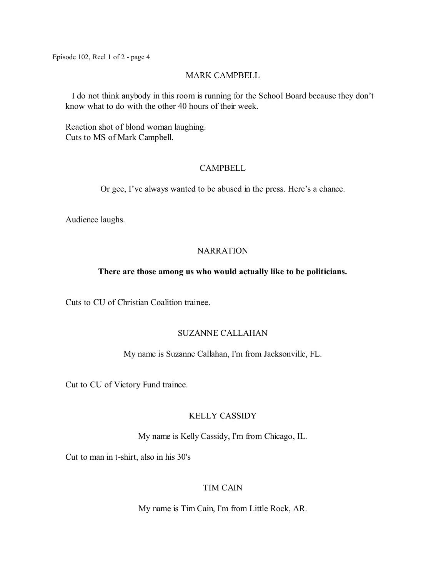#### MARK CAMPBELL

I do not think anybody in this room is running for the School Board because they don't know what to do with the other 40 hours of their week.

Reaction shot of blond woman laughing. Cuts to MS of Mark Campbell.

### **CAMPBELL**

Or gee, I've always wanted to be abused in the press. Here's a chance.

Audience laughs.

# **NARRATION**

### **There are those among us who would actually like to be politicians.**

Cuts to CU of Christian Coalition trainee.

# SUZANNE CALLAHAN

#### My name is Suzanne Callahan, I'm from Jacksonville, FL.

Cut to CU of Victory Fund trainee.

# KELLY CASSIDY

My name is Kelly Cassidy, I'm from Chicago, IL.

Cut to man in t-shirt, also in his 30's

# TIM CAIN

My name is Tim Cain, I'm from Little Rock, AR.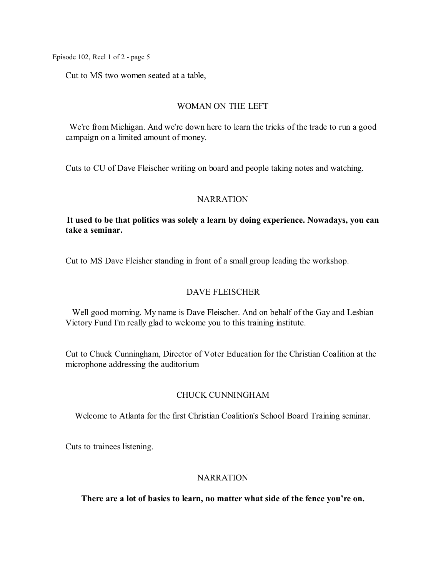Cut to MS two women seated at a table,

# WOMAN ON THE LEFT

We're from Michigan. And we're down here to learn the tricks of the trade to run a good campaign on a limited amount of money.

Cuts to CU of Dave Fleischer writing on board and people taking notes and watching.

# NARRATION

# **It used to be that politics was solely a learn by doing experience. Nowadays, you can take a seminar.**

Cut to MS Dave Fleisher standing in front of a small group leading the workshop.

# DAVE FLEISCHER

Well good morning. My name is Dave Fleischer. And on behalf of the Gay and Lesbian Victory Fund I'm really glad to welcome you to this training institute.

Cut to Chuck Cunningham, Director of Voter Education for the Christian Coalition at the microphone addressing the auditorium

# CHUCK CUNNINGHAM

Welcome to Atlanta for the first Christian Coalition's School Board Training seminar.

Cuts to trainees listening.

# **NARRATION**

**There are a lot of basics to learn, no matter what side of the fence you're on.**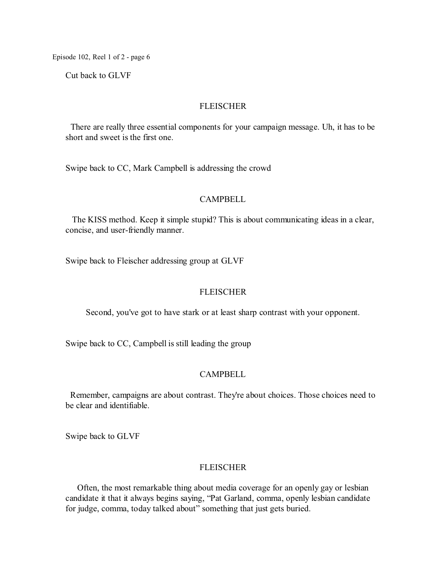Cut back to GLVF

#### FLEISCHER

There are really three essential components for your campaign message. Uh, it has to be short and sweet is the first one.

Swipe back to CC, Mark Campbell is addressing the crowd

#### CAMPBELL

The KISS method. Keep it simple stupid? This is about communicating ideas in a clear, concise, and user-friendly manner.

Swipe back to Fleischer addressing group at GLVF

### FLEISCHER

Second, you've got to have stark or at least sharp contrast with your opponent.

Swipe back to CC, Campbell is still leading the group

# CAMPBELL

Remember, campaigns are about contrast. They're about choices. Those choices need to be clear and identifiable.

Swipe back to GLVF

#### **FLEISCHER**

Often, the most remarkable thing about media coverage for an openly gay or lesbian candidate it that it always begins saying, "Pat Garland, comma, openly lesbian candidate for judge, comma, today talked about" something that just gets buried.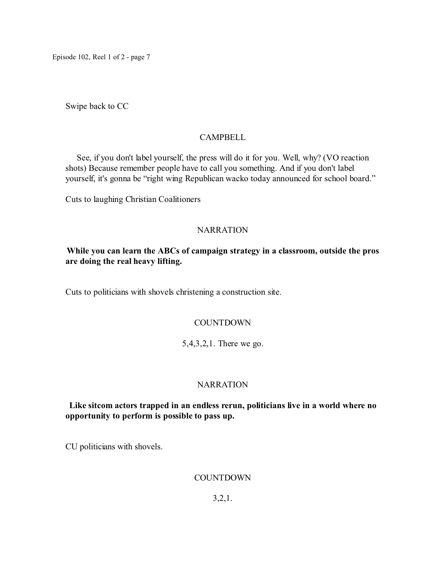Swipe back to CC

# **CAMPBELL**

See, if you don't label yourself, the press will do it for you. Well, why? (VO reaction shots) Because remember people have to call you something. And if you don't label yourself, it's gonna be "right wing Republican wacko today announced for school board."

Cuts to laughing Christian Coalitioners

# **NARRATION**

# **While you can learn the ABCs of campaign strategy in a classroom, outside the pros are doing the real heavy lifting.**

Cuts to politicians with shovels christening a construction site.

# **COUNTDOWN**

5,4,3,2,1. There we go.

# **NARRATION**

# **Like sitcom actors trapped in an endless rerun, politicians live in a world where no opportunity to perform is possible to pass up.**

CU politicians with shovels.

# **COUNTDOWN**

3,2,1.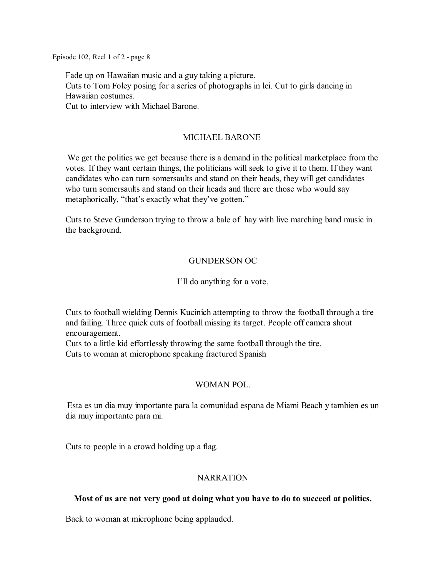Fade up on Hawaiian music and a guy taking a picture. Cuts to Tom Foley posing for a series of photographs in lei. Cut to girls dancing in Hawaiian costumes. Cut to interview with Michael Barone.

# MICHAEL BARONE

We get the politics we get because there is a demand in the political marketplace from the votes. If they want certain things, the politicians will seek to give it to them. If they want candidates who can turn somersaults and stand on their heads, they will get candidates who turn somersaults and stand on their heads and there are those who would say metaphorically, "that's exactly what they've gotten."

Cuts to Steve Gunderson trying to throw a bale of hay with live marching band music in the background.

# GUNDERSON OC

# I'll do anything for a vote.

Cuts to football wielding Dennis Kucinich attempting to throw the football through a tire and failing. Three quick cuts of football missing its target. People off camera shout encouragement.

Cuts to a little kid effortlessly throwing the same football through the tire. Cuts to woman at microphone speaking fractured Spanish

# WOMAN POL.

Esta es un dia muy importante para la comunidad espana de Miami Beach y tambien es un dia muy importante para mi.

Cuts to people in a crowd holding up a flag.

# **NARRATION**

# **Most of us are not very good at doing what you have to do to succeed at politics.**

Back to woman at microphone being applauded.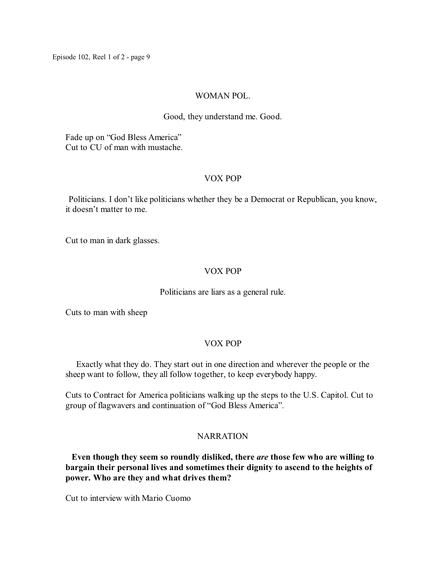### WOMAN POL.

### Good, they understand me. Good.

Fade up on "God Bless America" Cut to CU of man with mustache.

# VOX POP

Politicians. I don't like politicians whether they be a Democrat or Republican, you know, it doesn't matter to me.

Cut to man in dark glasses.

# VOX POP

### Politicians are liars as a general rule.

Cuts to man with sheep

# VOX POP

Exactly what they do. They start out in one direction and wherever the people or the sheep want to follow, they all follow together, to keep everybody happy.

Cuts to Contract for America politicians walking up the steps to the U.S. Capitol. Cut to group of flagwavers and continuation of "God Bless America".

# **NARRATION**

**Even though they seem so roundly disliked, there** *are* **those few who are willing to bargain their personal lives and sometimes their dignity to ascend to the heights of power. Who are they and what drives them?**

Cut to interview with Mario Cuomo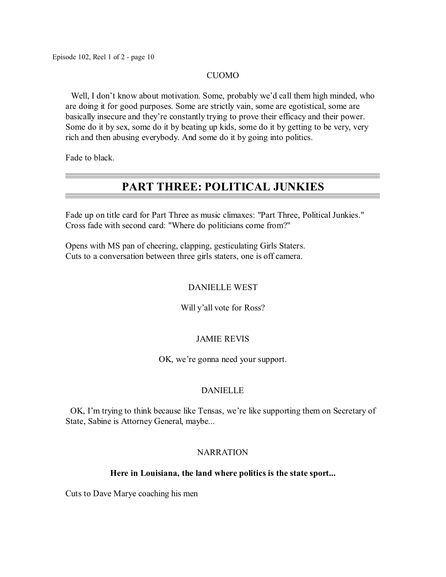#### CUOMO

Well, I don't know about motivation. Some, probably we'd call them high minded, who are doing it for good purposes. Some are strictly vain, some are egotistical, some are basically insecure and they're constantly trying to prove their efficacy and their power. Some do it by sex, some do it by beating up kids, some do it by getting to be very, very rich and then abusing everybody. And some do it by going into politics.

Fade to black.

# **PART THREE: POLITICAL JUNKIES**

Fade up on title card for Part Three as music climaxes: "Part Three, Political Junkies." Cross fade with second card: "Where do politicians come from?"

Opens with MS pan of cheering, clapping, gesticulating Girls Staters. Cuts to a conversation between three girls staters, one is off camera.

# DANIELLE WEST

# Will y'all vote for Ross?

# JAMIE REVIS

OK, we're gonna need your support.

# DANIELLE

OK, I'm trying to think because like Tensas, we're like supporting them on Secretary of State, Sabine is Attorney General, maybe...

# **NARRATION**

#### **Here in Louisiana, the land where politics is the state sport...**

Cuts to Dave Marye coaching his men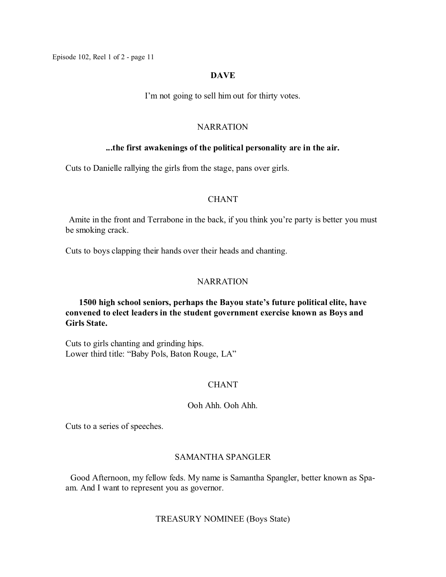#### **DAVE**

I'm not going to sell him out for thirty votes.

#### NARRATION

#### **...the first awakenings of the political personality are in the air.**

Cuts to Danielle rallying the girls from the stage, pans over girls.

#### CHANT

Amite in the front and Terrabone in the back, if you think you're party is better you must be smoking crack.

Cuts to boys clapping their hands over their heads and chanting.

### NARRATION

**1500 high school seniors, perhaps the Bayou state's future political elite, have convened to elect leaders in the student government exercise known as Boys and Girls State.**

Cuts to girls chanting and grinding hips. Lower third title: "Baby Pols, Baton Rouge, LA"

# **CHANT**

#### Ooh Ahh. Ooh Ahh.

Cuts to a series of speeches.

#### SAMANTHA SPANGLER

Good Afternoon, my fellow feds. My name is Samantha Spangler, better known as Spaam. And I want to represent you as governor.

#### TREASURY NOMINEE (Boys State)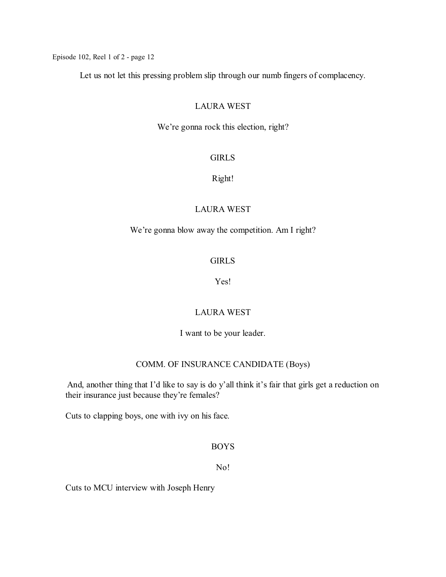Let us not let this pressing problem slip through our numb fingers of complacency.

### LAURA WEST

We're gonna rock this election, right?

# GIRLS

#### Right!

# LAURA WEST

# We're gonna blow away the competition. Am I right?

# **GIRLS**

# Yes!

# LAURA WEST

I want to be your leader.

# COMM. OF INSURANCE CANDIDATE (Boys)

And, another thing that I'd like to say is do y'all think it's fair that girls get a reduction on their insurance just because they're females?

Cuts to clapping boys, one with ivy on his face.

### BOYS

### No!

Cuts to MCU interview with Joseph Henry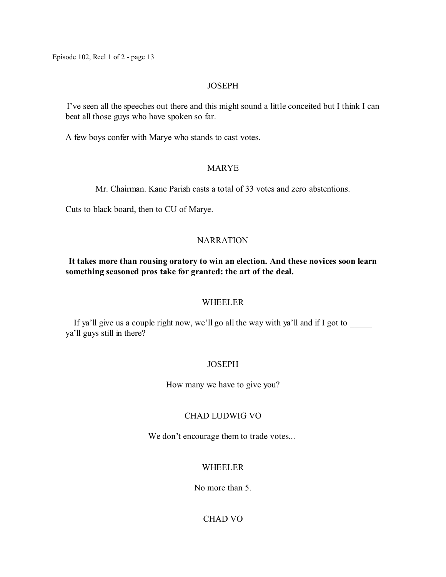# **JOSEPH**

I've seen all the speeches out there and this might sound a little conceited but I think I can beat all those guys who have spoken so far.

A few boys confer with Marye who stands to cast votes.

# MARYE

Mr. Chairman. Kane Parish casts a total of 33 votes and zero abstentions.

Cuts to black board, then to CU of Marye.

# **NARRATION**

# **It takes more than rousing oratory to win an election. And these novices soon learn something seasoned pros take for granted: the art of the deal.**

# WHEELER

If ya'll give us a couple right now, we'll go all the way with ya'll and if I got to \_\_\_\_\_ ya'll guys still in there?

# **JOSEPH**

How many we have to give you?

# CHAD LUDWIG VO

We don't encourage them to trade votes...

# WHEELER

No more than 5.

# CHAD VO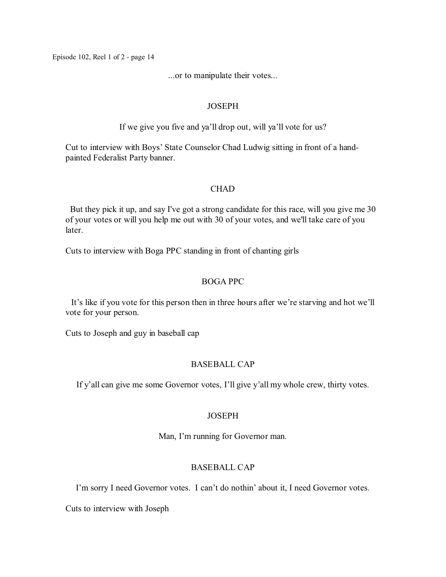...or to manipulate their votes...

### **JOSEPH**

If we give you five and ya'll drop out, will ya'll vote for us?

Cut to interview with Boys' State Counselor Chad Ludwig sitting in front of a handpainted Federalist Party banner.

# CHAD

But they pick it up, and say I've got a strong candidate for this race, will you give me 30 of your votes or will you help me out with 30 of your votes, and we'll take care of you later.

Cuts to interview with Boga PPC standing in front of chanting girls

# BOGA PPC

It's like if you vote for this person then in three hours after we're starving and hot we'll vote for your person.

Cuts to Joseph and guy in baseball cap

# BASEBALL CAP

If y'all can give me some Governor votes, I'll give y'all my whole crew, thirty votes.

# **JOSEPH**

Man, I'm running for Governor man.

# BASEBALL CAP

I'm sorry I need Governor votes. I can't do nothin' about it, I need Governor votes.

Cuts to interview with Joseph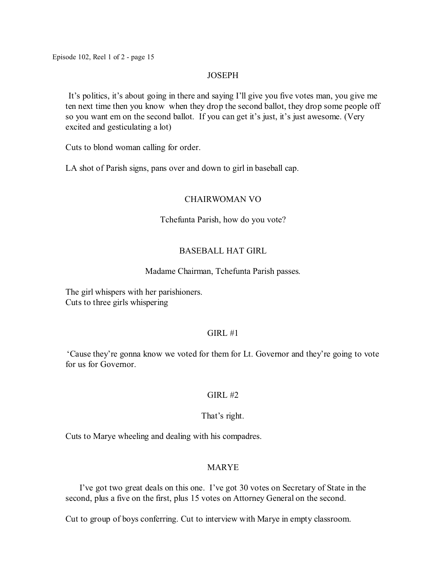#### **JOSEPH**

It's politics, it's about going in there and saying I'll give you five votes man, you give me ten next time then you know when they drop the second ballot, they drop some people off so you want em on the second ballot. If you can get it's just, it's just awesome. (Very excited and gesticulating a lot)

Cuts to blond woman calling for order.

LA shot of Parish signs, pans over and down to girl in baseball cap.

#### CHAIRWOMAN VO

#### Tchefunta Parish, how do you vote?

### BASEBALL HAT GIRL

#### Madame Chairman, Tchefunta Parish passes.

The girl whispers with her parishioners. Cuts to three girls whispering

#### $GIRL#1$

'Cause they're gonna know we voted for them for Lt. Governor and they're going to vote for us for Governor.

#### $GIRL \#2$

# That's right.

Cuts to Marye wheeling and dealing with his compadres.

# MARYE

I've got two great deals on this one. I've got 30 votes on Secretary of State in the second, plus a five on the first, plus 15 votes on Attorney General on the second.

Cut to group of boys conferring. Cut to interview with Marye in empty classroom.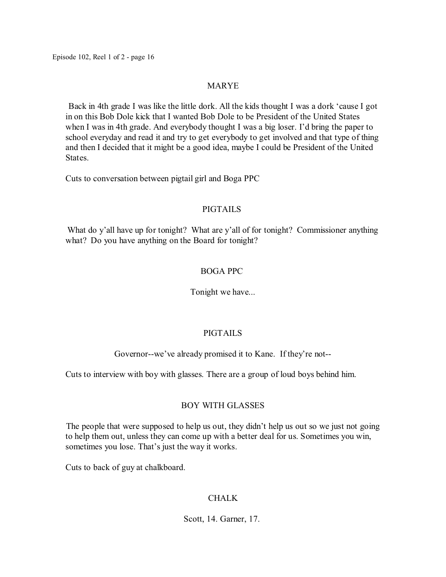# MARYE

Back in 4th grade I was like the little dork. All the kids thought I was a dork 'cause I got in on this Bob Dole kick that I wanted Bob Dole to be President of the United States when I was in 4th grade. And everybody thought I was a big loser. I'd bring the paper to school everyday and read it and try to get everybody to get involved and that type of thing and then I decided that it might be a good idea, maybe I could be President of the United States.

Cuts to conversation between pigtail girl and Boga PPC

# PIGTAILS

What do y'all have up for tonight? What are y'all of for tonight? Commissioner anything what? Do you have anything on the Board for tonight?

# BOGA PPC

Tonight we have...

# PIGTAILS

Governor--we've already promised it to Kane. If they're not--

Cuts to interview with boy with glasses. There are a group of loud boys behind him.

# BOY WITH GLASSES

The people that were supposed to help us out, they didn't help us out so we just not going to help them out, unless they can come up with a better deal for us. Sometimes you win, sometimes you lose. That's just the way it works.

Cuts to back of guy at chalkboard.

# CHALK

Scott, 14. Garner, 17.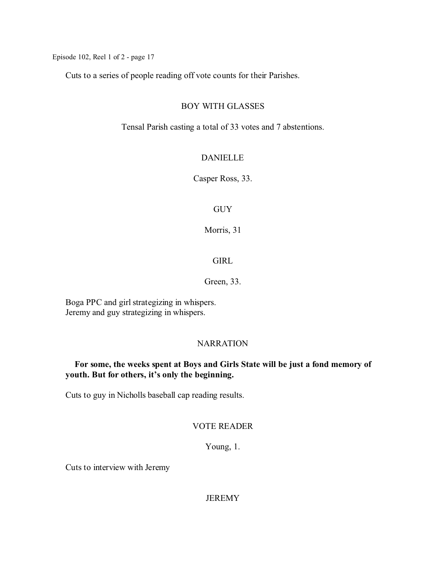Cuts to a series of people reading off vote counts for their Parishes.

#### BOY WITH GLASSES

Tensal Parish casting a total of 33 votes and 7 abstentions.

# DANIELLE

Casper Ross, 33.

### **GUY**

Morris, 31

# **GIRL**

# Green, 33.

Boga PPC and girl strategizing in whispers. Jeremy and guy strategizing in whispers.

#### NARRATION

# **For some, the weeks spent at Boys and Girls State will be just a fond memory of youth. But for others, it's only the beginning.**

Cuts to guy in Nicholls baseball cap reading results.

### VOTE READER

Young, 1.

Cuts to interview with Jeremy

**JEREMY**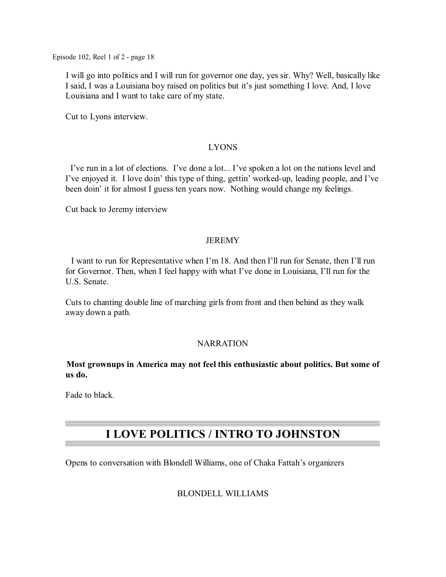I will go into politics and I will run for governor one day, yes sir. Why? Well, basically like I said, I was a Louisiana boy raised on politics but it's just something I love. And, I love Louisiana and I want to take care of my state.

Cut to Lyons interview.

# LYONS

I've run in a lot of elections. I've done a lot... I've spoken a lot on the nations level and I've enjoyed it. I love doin' this type of thing, gettin' worked-up, leading people, and I've been doin' it for almost I guess ten years now. Nothing would change my feelings.

Cut back to Jeremy interview

### JEREMY

I want to run for Representative when I'm 18. And then I'll run for Senate, then I'll run for Governor. Then, when I feel happy with what I've done in Louisiana, I'll run for the U.S. Senate.

Cuts to chanting double line of marching girls from front and then behind as they walk away down a path.

#### **NARRATION**

**Most grownups in America may not feel this enthusiastic about politics. But some of us do.**

Fade to black.

# **I LOVE POLITICS / INTRO TO JOHNSTON**

Opens to conversation with Blondell Williams, one of Chaka Fattah's organizers

# BLONDELL WILLIAMS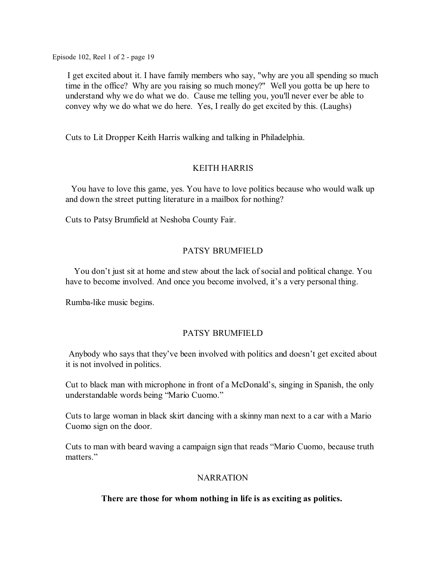I get excited about it. I have family members who say, "why are you all spending so much time in the office? Why are you raising so much money?" Well you gotta be up here to understand why we do what we do. Cause me telling you, you'll never ever be able to convey why we do what we do here. Yes, I really do get excited by this. (Laughs)

Cuts to Lit Dropper Keith Harris walking and talking in Philadelphia.

# KEITH HARRIS

You have to love this game, yes. You have to love politics because who would walk up and down the street putting literature in a mailbox for nothing?

Cuts to Patsy Brumfield at Neshoba County Fair.

# PATSY BRUMFIELD

You don't just sit at home and stew about the lack of social and political change. You have to become involved. And once you become involved, it's a very personal thing.

Rumba-like music begins.

# PATSY BRUMFIELD

Anybody who says that they've been involved with politics and doesn't get excited about it is not involved in politics.

Cut to black man with microphone in front of a McDonald's, singing in Spanish, the only understandable words being "Mario Cuomo."

Cuts to large woman in black skirt dancing with a skinny man next to a car with a Mario Cuomo sign on the door.

Cuts to man with beard waving a campaign sign that reads "Mario Cuomo, because truth matters."

# **NARRATION**

# **There are those for whom nothing in life is as exciting as politics.**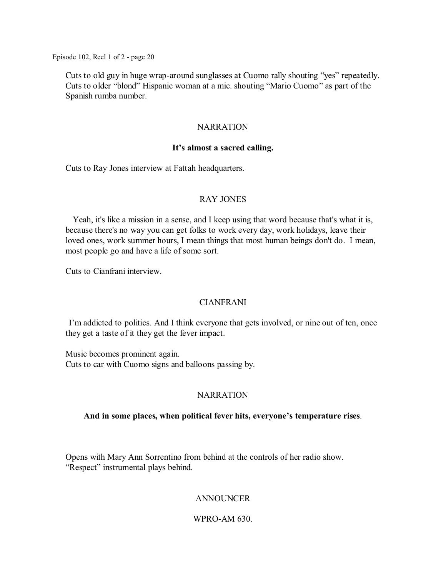Cuts to old guy in huge wrap-around sunglasses at Cuomo rally shouting "yes" repeatedly. Cuts to older "blond" Hispanic woman at a mic. shouting "Mario Cuomo" as part of the Spanish rumba number.

# NARRATION

#### **It's almost a sacred calling.**

Cuts to Ray Jones interview at Fattah headquarters.

# RAY JONES

Yeah, it's like a mission in a sense, and I keep using that word because that's what it is, because there's no way you can get folks to work every day, work holidays, leave their loved ones, work summer hours, I mean things that most human beings don't do. I mean, most people go and have a life of some sort.

Cuts to Cianfrani interview.

# CIANFRANI

I'm addicted to politics. And I think everyone that gets involved, or nine out of ten, once they get a taste of it they get the fever impact.

Music becomes prominent again. Cuts to car with Cuomo signs and balloons passing by.

# **NARRATION**

#### **And in some places, when political fever hits, everyone's temperature rises**.

Opens with Mary Ann Sorrentino from behind at the controls of her radio show. "Respect" instrumental plays behind.

# ANNOUNCER

# WPRO-AM 630.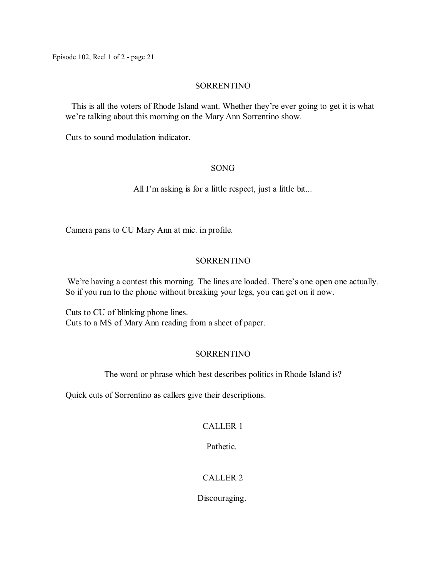# SORRENTINO

This is all the voters of Rhode Island want. Whether they're ever going to get it is what we're talking about this morning on the Mary Ann Sorrentino show.

Cuts to sound modulation indicator.

# SONG

All I'm asking is for a little respect, just a little bit...

Camera pans to CU Mary Ann at mic. in profile.

# SORRENTINO

We're having a contest this morning. The lines are loaded. There's one open one actually. So if you run to the phone without breaking your legs, you can get on it now.

Cuts to CU of blinking phone lines. Cuts to a MS of Mary Ann reading from a sheet of paper.

# **SORRENTINO**

The word or phrase which best describes politics in Rhode Island is?

Quick cuts of Sorrentino as callers give their descriptions.

# CALLER 1

Pathetic.

# CALLER 2

Discouraging.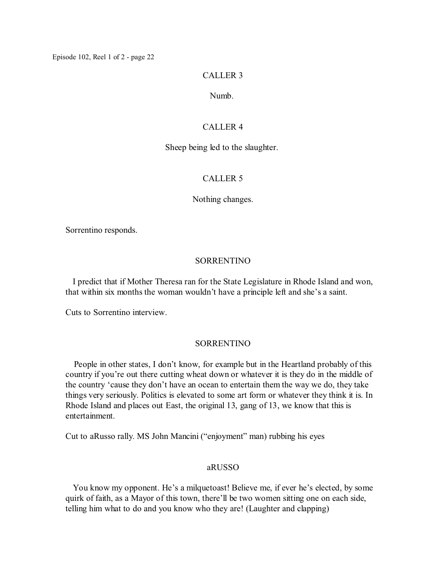#### CALLER 3

#### Numb.

#### CALLER 4

#### Sheep being led to the slaughter.

#### CALLER 5

#### Nothing changes.

Sorrentino responds.

### SORRENTINO

I predict that if Mother Theresa ran for the State Legislature in Rhode Island and won, that within six months the woman wouldn't have a principle left and she's a saint.

Cuts to Sorrentino interview.

#### SORRENTINO

People in other states, I don't know, for example but in the Heartland probably of this country if you're out there cutting wheat down or whatever it is they do in the middle of the country 'cause they don't have an ocean to entertain them the way we do, they take things very seriously. Politics is elevated to some art form or whatever they think it is. In Rhode Island and places out East, the original 13, gang of 13, we know that this is entertainment.

Cut to aRusso rally. MS John Mancini ("enjoyment" man) rubbing his eyes

#### aRUSSO

You know my opponent. He's a milquetoast! Believe me, if ever he's elected, by some quirk of faith, as a Mayor of this town, there'll be two women sitting one on each side, telling him what to do and you know who they are! (Laughter and clapping)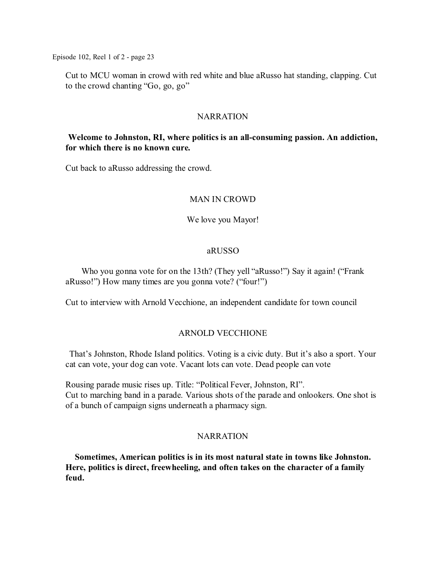Cut to MCU woman in crowd with red white and blue aRusso hat standing, clapping. Cut to the crowd chanting "Go, go, go"

# **NARRATION**

# **Welcome to Johnston, RI, where politics is an all-consuming passion. An addiction, for which there is no known cure.**

Cut back to aRusso addressing the crowd.

### MAN IN CROWD

#### We love you Mayor!

#### aRUSSO

Who you gonna vote for on the 13th? (They yell "aRusso!") Say it again! ("Frank aRusso!") How many times are you gonna vote? ("four!")

Cut to interview with Arnold Vecchione, an independent candidate for town council

#### ARNOLD VECCHIONE

That's Johnston, Rhode Island politics. Voting is a civic duty. But it's also a sport. Your cat can vote, your dog can vote. Vacant lots can vote. Dead people can vote

Rousing parade music rises up. Title: "Political Fever, Johnston, RI". Cut to marching band in a parade. Various shots of the parade and onlookers. One shot is of a bunch of campaign signs underneath a pharmacy sign.

#### **NARRATION**

**Sometimes, American politics is in its most natural state in towns like Johnston. Here, politics is direct, freewheeling, and often takes on the character of a family feud.**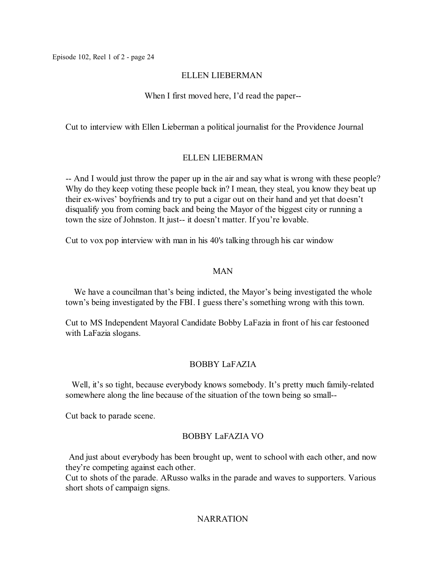### ELLEN LIEBERMAN

# When I first moved here, I'd read the paper--

Cut to interview with Ellen Lieberman a political journalist for the Providence Journal

### ELLEN LIEBERMAN

-- And I would just throw the paper up in the air and say what is wrong with these people? Why do they keep voting these people back in? I mean, they steal, you know they beat up their ex-wives' boyfriends and try to put a cigar out on their hand and yet that doesn't disqualify you from coming back and being the Mayor of the biggest city or running a town the size of Johnston. It just-- it doesn't matter. If you're lovable.

Cut to vox pop interview with man in his 40's talking through his car window

# MAN

We have a councilman that's being indicted, the Mayor's being investigated the whole town's being investigated by the FBI. I guess there's something wrong with this town.

Cut to MS Independent Mayoral Candidate Bobby LaFazia in front of his car festooned with LaFazia slogans.

# BOBBY LaFAZIA

Well, it's so tight, because everybody knows somebody. It's pretty much family-related somewhere along the line because of the situation of the town being so small--

Cut back to parade scene.

# BOBBY LaFAZIA VO

And just about everybody has been brought up, went to school with each other, and now they're competing against each other.

Cut to shots of the parade. ARusso walks in the parade and waves to supporters. Various short shots of campaign signs.

# **NARRATION**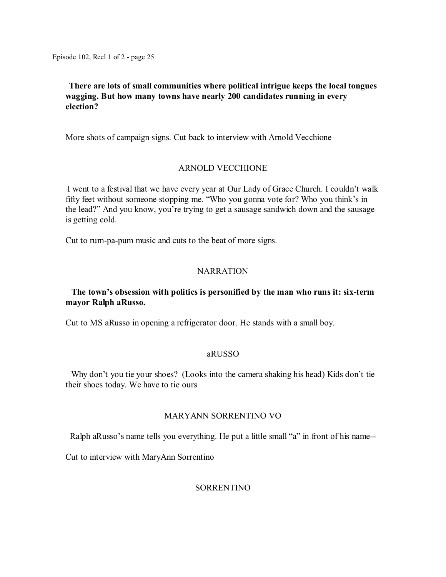# **There are lots of small communities where political intrigue keeps the local tongues wagging. But how many towns have nearly 200 candidates running in every election?**

More shots of campaign signs. Cut back to interview with Arnold Vecchione

### ARNOLD VECCHIONE

I went to a festival that we have every year at Our Lady of Grace Church. I couldn't walk fifty feet without someone stopping me. "Who you gonna vote for? Who you think's in the lead?" And you know, you're trying to get a sausage sandwich down and the sausage is getting cold.

Cut to rum-pa-pum music and cuts to the beat of more signs.

#### NARRATION

# **The town's obsession with politics is personified by the man who runs it: six-term mayor Ralph aRusso.**

Cut to MS aRusso in opening a refrigerator door. He stands with a small boy.

#### aRUSSO

Why don't you tie your shoes? (Looks into the camera shaking his head) Kids don't tie their shoes today. We have to tie ours

#### MARYANN SORRENTINO VO

Ralph aRusso's name tells you everything. He put a little small "a" in front of his name--

Cut to interview with MaryAnn Sorrentino

#### SORRENTINO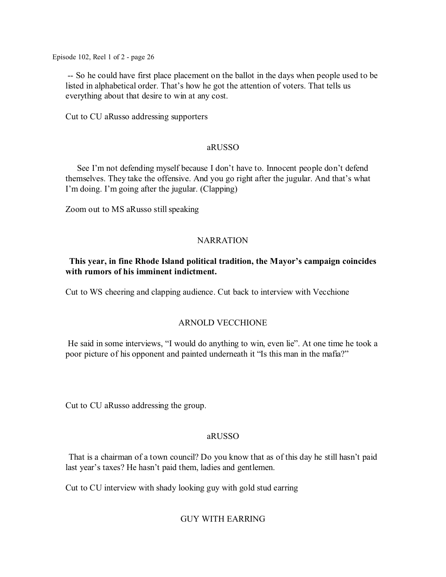-- So he could have first place placement on the ballot in the days when people used to be listed in alphabetical order. That's how he got the attention of voters. That tells us everything about that desire to win at any cost.

Cut to CU aRusso addressing supporters

### aRUSSO

See I'm not defending myself because I don't have to. Innocent people don't defend themselves. They take the offensive. And you go right after the jugular. And that's what I'm doing. I'm going after the jugular. (Clapping)

Zoom out to MS aRusso still speaking

# **NARRATION**

# **This year, in fine Rhode Island political tradition, the Mayor's campaign coincides with rumors of his imminent indictment.**

Cut to WS cheering and clapping audience. Cut back to interview with Vecchione

# ARNOLD VECCHIONE

He said in some interviews, "I would do anything to win, even lie". At one time he took a poor picture of his opponent and painted underneath it "Is this man in the mafia?"

Cut to CU aRusso addressing the group.

# aRUSSO

That is a chairman of a town council? Do you know that as of this day he still hasn't paid last year's taxes? He hasn't paid them, ladies and gentlemen.

Cut to CU interview with shady looking guy with gold stud earring

# GUY WITH EARRING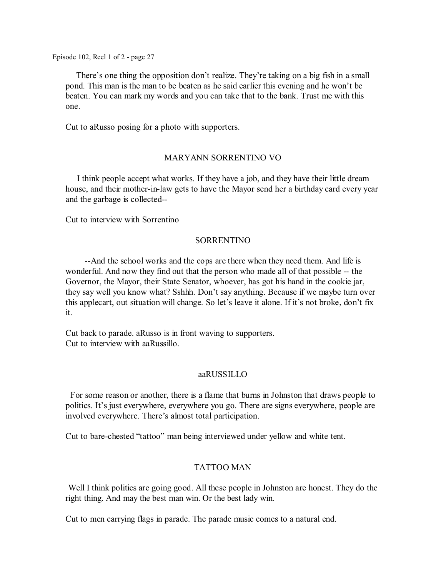There's one thing the opposition don't realize. They're taking on a big fish in a small pond. This man is the man to be beaten as he said earlier this evening and he won't be beaten. You can mark my words and you can take that to the bank. Trust me with this one.

Cut to aRusso posing for a photo with supporters.

### MARYANN SORRENTINO VO

I think people accept what works. If they have a job, and they have their little dream house, and their mother-in-law gets to have the Mayor send her a birthday card every year and the garbage is collected--

Cut to interview with Sorrentino

#### SORRENTINO

--And the school works and the cops are there when they need them. And life is wonderful. And now they find out that the person who made all of that possible -- the Governor, the Mayor, their State Senator, whoever, has got his hand in the cookie jar, they say well you know what? Sshhh. Don't say anything. Because if we maybe turn over this applecart, out situation will change. So let's leave it alone. If it's not broke, don't fix it.

Cut back to parade. aRusso is in front waving to supporters. Cut to interview with aaRussillo.

#### aaRUSSILLO

For some reason or another, there is a flame that burns in Johnston that draws people to politics. It's just everywhere, everywhere you go. There are signs everywhere, people are involved everywhere. There's almost total participation.

Cut to bare-chested "tattoo" man being interviewed under yellow and white tent.

#### TATTOO MAN

Well I think politics are going good. All these people in Johnston are honest. They do the right thing. And may the best man win. Or the best lady win.

Cut to men carrying flags in parade. The parade music comes to a natural end.